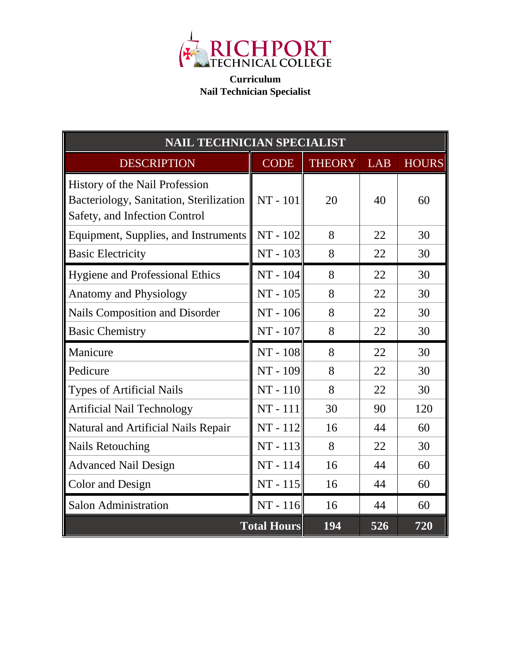

**Curriculum Nail Technician Specialist**

| <b>NAIL TECHNICIAN SPECIALIST</b>                                                                          |             |               |            |              |
|------------------------------------------------------------------------------------------------------------|-------------|---------------|------------|--------------|
| <b>DESCRIPTION</b>                                                                                         | <b>CODE</b> | <b>THEORY</b> | <b>LAB</b> | <b>HOURS</b> |
| History of the Nail Profession<br>Bacteriology, Sanitation, Sterilization<br>Safety, and Infection Control | NT - 101    | 20            | 40         | 60           |
| Equipment, Supplies, and Instruments                                                                       | NT - 102    | 8             | 22         | 30           |
| <b>Basic Electricity</b>                                                                                   | NT - 103    | 8             | 22         | 30           |
| <b>Hygiene and Professional Ethics</b>                                                                     | NT - 104    | 8             | 22         | 30           |
| <b>Anatomy and Physiology</b>                                                                              | NT - 105    | 8             | 22         | 30           |
| Nails Composition and Disorder                                                                             | NT - 106    | 8             | 22         | 30           |
| <b>Basic Chemistry</b>                                                                                     | NT - 107    | 8             | 22         | 30           |
| Manicure                                                                                                   | NT - 108    | 8             | 22         | 30           |
| Pedicure                                                                                                   | NT - 109    | 8             | 22         | 30           |
| <b>Types of Artificial Nails</b>                                                                           | $NT - 110$  | 8             | 22         | 30           |
| <b>Artificial Nail Technology</b>                                                                          | NT-111      | 30            | 90         | 120          |
| Natural and Artificial Nails Repair                                                                        | NT-112      | 16            | 44         | 60           |
| <b>Nails Retouching</b>                                                                                    | NT - 113    | 8             | 22         | 30           |
| <b>Advanced Nail Design</b>                                                                                | NT - 114    | 16            | 44         | 60           |
| Color and Design                                                                                           | $NT - 115$  | 16            | 44         | 60           |
| <b>Salon Administration</b>                                                                                | $NT - 116$  | 16            | 44         | 60           |
| <b>Total Hours</b>                                                                                         |             | 194           | 526        | 720          |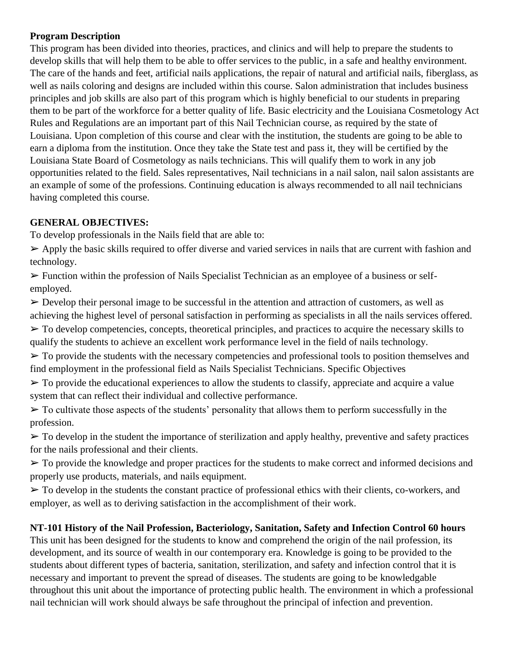## **Program Description**

This program has been divided into theories, practices, and clinics and will help to prepare the students to develop skills that will help them to be able to offer services to the public, in a safe and healthy environment. The care of the hands and feet, artificial nails applications, the repair of natural and artificial nails, fiberglass, as well as nails coloring and designs are included within this course. Salon administration that includes business principles and job skills are also part of this program which is highly beneficial to our students in preparing them to be part of the workforce for a better quality of life. Basic electricity and the Louisiana Cosmetology Act Rules and Regulations are an important part of this Nail Technician course, as required by the state of Louisiana. Upon completion of this course and clear with the institution, the students are going to be able to earn a diploma from the institution. Once they take the State test and pass it, they will be certified by the Louisiana State Board of Cosmetology as nails technicians. This will qualify them to work in any job opportunities related to the field. Sales representatives, Nail technicians in a nail salon, nail salon assistants are an example of some of the professions. Continuing education is always recommended to all nail technicians having completed this course.

## **GENERAL OBJECTIVES:**

To develop professionals in the Nails field that are able to:

➢ Apply the basic skills required to offer diverse and varied services in nails that are current with fashion and technology.

 $\triangleright$  Function within the profession of Nails Specialist Technician as an employee of a business or selfemployed.

 $\triangleright$  Develop their personal image to be successful in the attention and attraction of customers, as well as achieving the highest level of personal satisfaction in performing as specialists in all the nails services offered.  $\triangleright$  To develop competencies, concepts, theoretical principles, and practices to acquire the necessary skills to qualify the students to achieve an excellent work performance level in the field of nails technology.

 $\triangleright$  To provide the students with the necessary competencies and professional tools to position themselves and find employment in the professional field as Nails Specialist Technicians. Specific Objectives

 $\triangleright$  To provide the educational experiences to allow the students to classify, appreciate and acquire a value system that can reflect their individual and collective performance.

 $\triangleright$  To cultivate those aspects of the students' personality that allows them to perform successfully in the profession.

 $\triangleright$  To develop in the student the importance of sterilization and apply healthy, preventive and safety practices for the nails professional and their clients.

 $\triangleright$  To provide the knowledge and proper practices for the students to make correct and informed decisions and properly use products, materials, and nails equipment.

 $\triangleright$  To develop in the students the constant practice of professional ethics with their clients, co-workers, and employer, as well as to deriving satisfaction in the accomplishment of their work.

# **NT-101 History of the Nail Profession, Bacteriology, Sanitation, Safety and Infection Control 60 hours**

This unit has been designed for the students to know and comprehend the origin of the nail profession, its development, and its source of wealth in our contemporary era. Knowledge is going to be provided to the students about different types of bacteria, sanitation, sterilization, and safety and infection control that it is necessary and important to prevent the spread of diseases. The students are going to be knowledgable throughout this unit about the importance of protecting public health. The environment in which a professional nail technician will work should always be safe throughout the principal of infection and prevention.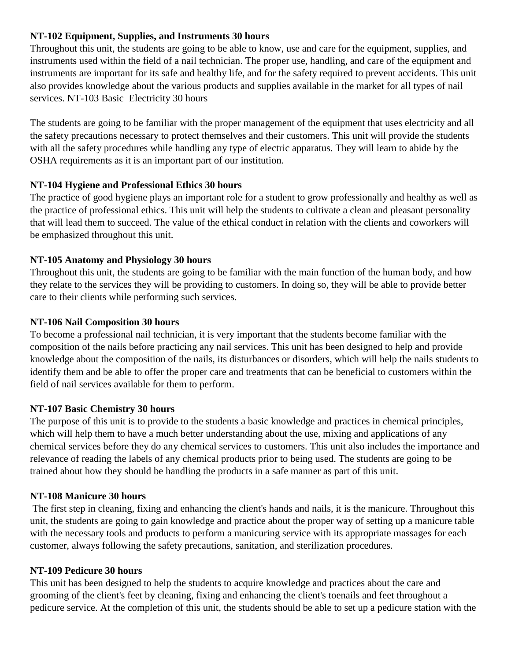## **NT-102 Equipment, Supplies, and Instruments 30 hours**

Throughout this unit, the students are going to be able to know, use and care for the equipment, supplies, and instruments used within the field of a nail technician. The proper use, handling, and care of the equipment and instruments are important for its safe and healthy life, and for the safety required to prevent accidents. This unit also provides knowledge about the various products and supplies available in the market for all types of nail services. NT-103 Basic Electricity 30 hours

The students are going to be familiar with the proper management of the equipment that uses electricity and all the safety precautions necessary to protect themselves and their customers. This unit will provide the students with all the safety procedures while handling any type of electric apparatus. They will learn to abide by the OSHA requirements as it is an important part of our institution.

#### **NT-104 Hygiene and Professional Ethics 30 hours**

The practice of good hygiene plays an important role for a student to grow professionally and healthy as well as the practice of professional ethics. This unit will help the students to cultivate a clean and pleasant personality that will lead them to succeed. The value of the ethical conduct in relation with the clients and coworkers will be emphasized throughout this unit.

## **NT-105 Anatomy and Physiology 30 hours**

Throughout this unit, the students are going to be familiar with the main function of the human body, and how they relate to the services they will be providing to customers. In doing so, they will be able to provide better care to their clients while performing such services.

#### **NT-106 Nail Composition 30 hours**

To become a professional nail technician, it is very important that the students become familiar with the composition of the nails before practicing any nail services. This unit has been designed to help and provide knowledge about the composition of the nails, its disturbances or disorders, which will help the nails students to identify them and be able to offer the proper care and treatments that can be beneficial to customers within the field of nail services available for them to perform.

#### **NT-107 Basic Chemistry 30 hours**

The purpose of this unit is to provide to the students a basic knowledge and practices in chemical principles, which will help them to have a much better understanding about the use, mixing and applications of any chemical services before they do any chemical services to customers. This unit also includes the importance and relevance of reading the labels of any chemical products prior to being used. The students are going to be trained about how they should be handling the products in a safe manner as part of this unit.

#### **NT-108 Manicure 30 hours**

The first step in cleaning, fixing and enhancing the client's hands and nails, it is the manicure. Throughout this unit, the students are going to gain knowledge and practice about the proper way of setting up a manicure table with the necessary tools and products to perform a manicuring service with its appropriate massages for each customer, always following the safety precautions, sanitation, and sterilization procedures.

#### **NT-109 Pedicure 30 hours**

This unit has been designed to help the students to acquire knowledge and practices about the care and grooming of the client's feet by cleaning, fixing and enhancing the client's toenails and feet throughout a pedicure service. At the completion of this unit, the students should be able to set up a pedicure station with the